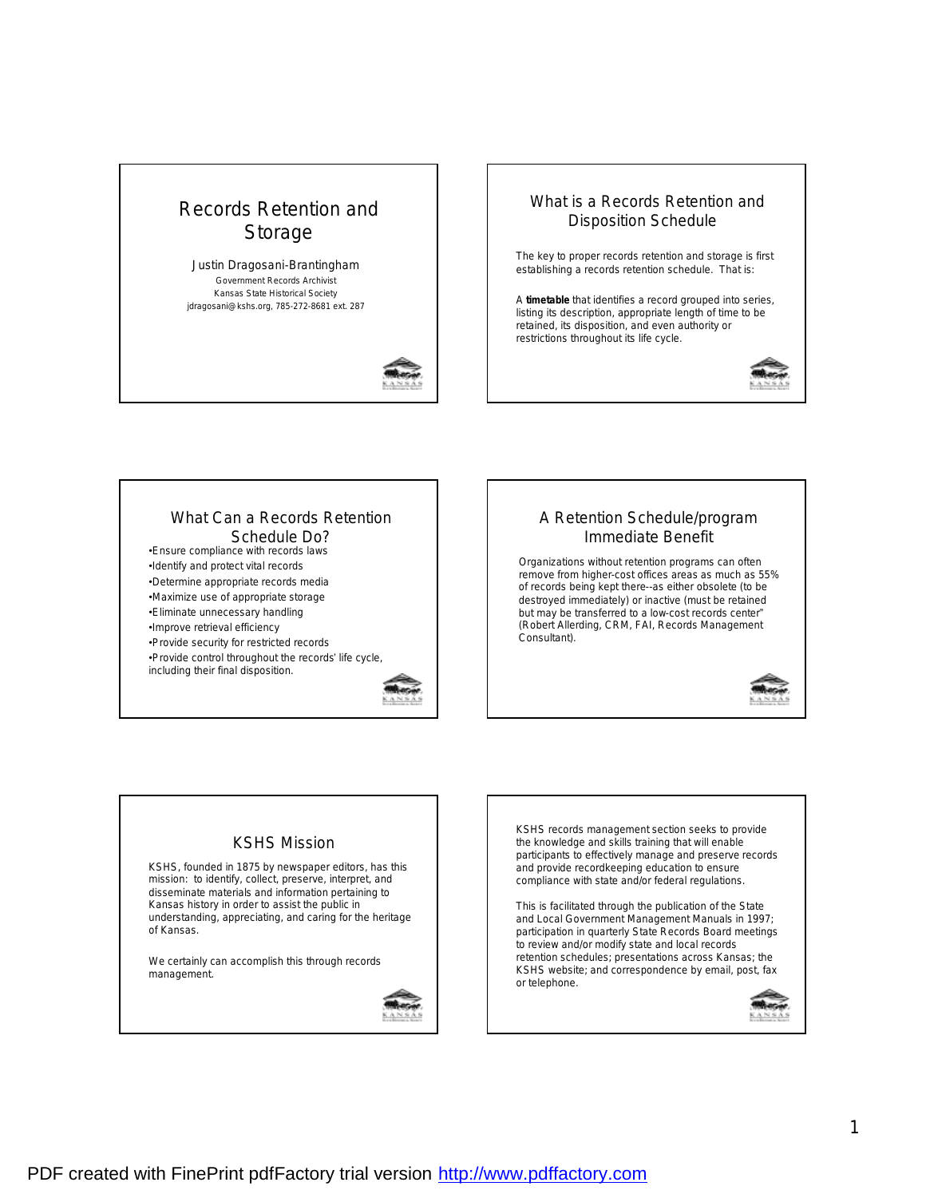



# What is a Records Retention and Disposition Schedule?

The key to proper records retention and storage is first establishing a records retention schedule. That is:

A **timetable** that identifies a record grouped into series, listing its description, appropriate length of time to be retained, its disposition, and even authority or restrictions throughout its life cycle.



#### What Can a Records Retention Schedule Do?

•Ensure compliance with records laws

•Identify and protect vital records

•Determine appropriate records media

•Maximize use of appropriate storage •Eliminate unnecessary handling

•Improve retrieval efficiency

•Provide security for restricted records

•Provide control throughout the records' life cycle, including their final disposition.



### A Retention Schedule/program Immediate Benefit

Organizations without retention programs can often remove from higher-cost offices areas as much as 55% of records being kept there--as either obsolete (to be destroyed immediately) or inactive (must be retained but may be transferred to a low-cost records center" (Robert Allerding, CRM, FAI, Records Management Consultant).



### KSHS Mission

KSHS, founded in 1875 by newspaper editors, has this mission: to identify, collect, preserve, interpret, and disseminate materials and information pertaining to Kansas history in order to assist the public in understanding, appreciating, and caring for the heritage of Kansas.

We certainly can accomplish this through records management.



KSHS records management section seeks to provide the knowledge and skills training that will enable participants to effectively manage and preserve records and provide recordkeeping education to ensure compliance with state and/or federal regulations.

This is facilitated through the publication of the State and Local Government Management Manuals in 1997; participation in quarterly State Records Board meetings to review and/or modify state and local records retention schedules; presentations across Kansas; the KSHS website; and correspondence by email, post, fax or telephone.

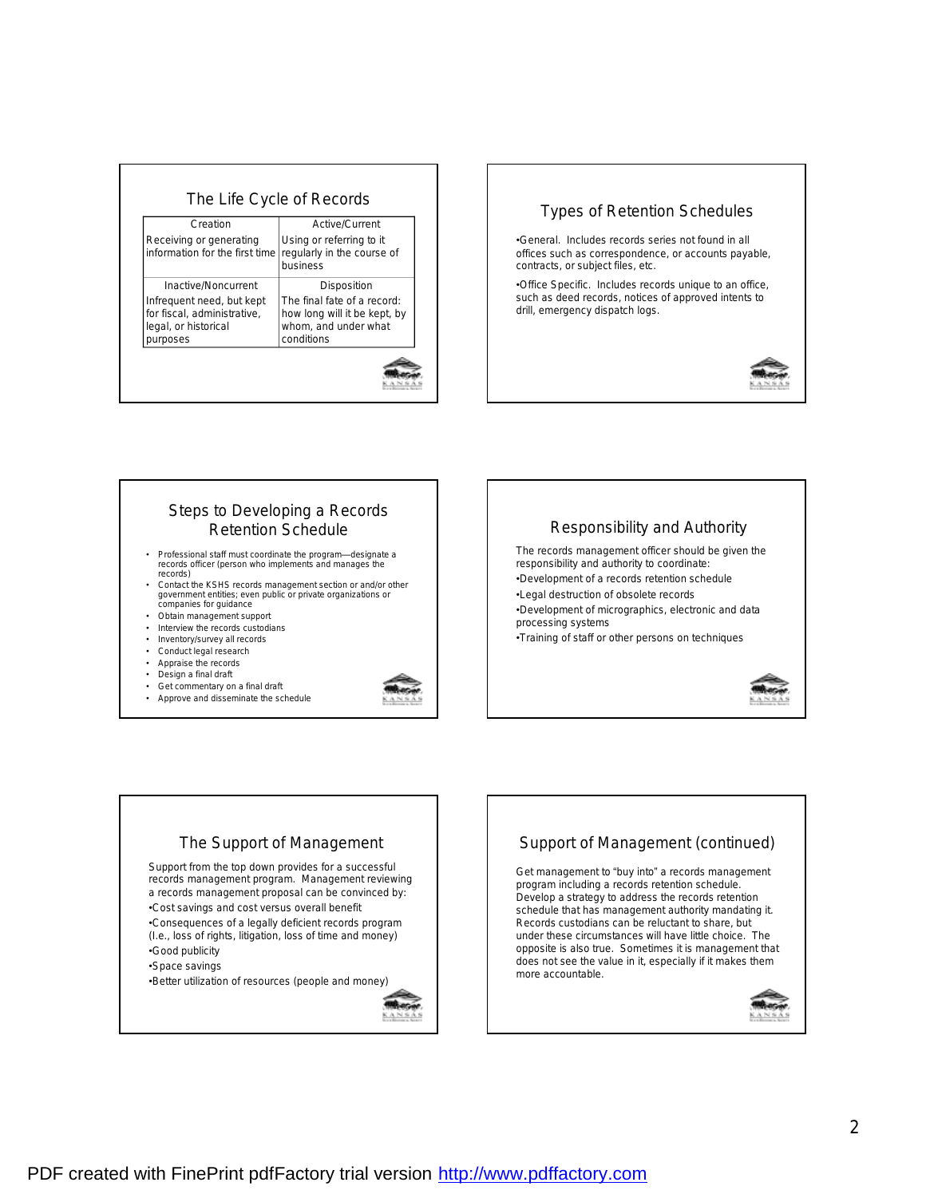| Creation                                                                                     | Active/Current                                                                                    |
|----------------------------------------------------------------------------------------------|---------------------------------------------------------------------------------------------------|
| Receiving or generating<br>information for the first time                                    | Using or referring to it<br>regularly in the course of<br>business                                |
| <b>Inactive/Noncurrent</b>                                                                   | Disposition                                                                                       |
| Infrequent need, but kept<br>for fiscal, administrative,<br>legal, or historical<br>purposes | The final fate of a record:<br>how long will it be kept, by<br>whom, and under what<br>conditions |



# Steps to Developing a Records Retention Schedule

- Professional staff must coordinate the program—designate a records officer (person who implements and manages the records)
- Contact the KSHS records management section or and/or other government entities; even public or private organizations or companies for guidance
- Obtain management support
- Interview the records custodians
- Inventory/survey all records
- Conduct legal research
- Appraise the records
- Design a final draft
- Get commentary on a final draft
- Approve and disseminate the schedule





# The Support of Management Support from the top down provides for a successful records management program. Management reviewing a records management proposal can be convinced by: •Cost savings and cost versus overall benefit •Consequences of a legally deficient records program (I.e., loss of rights, litigation, loss of time and money) •Good publicity •Space savings •Better utilization of resources (people and money)

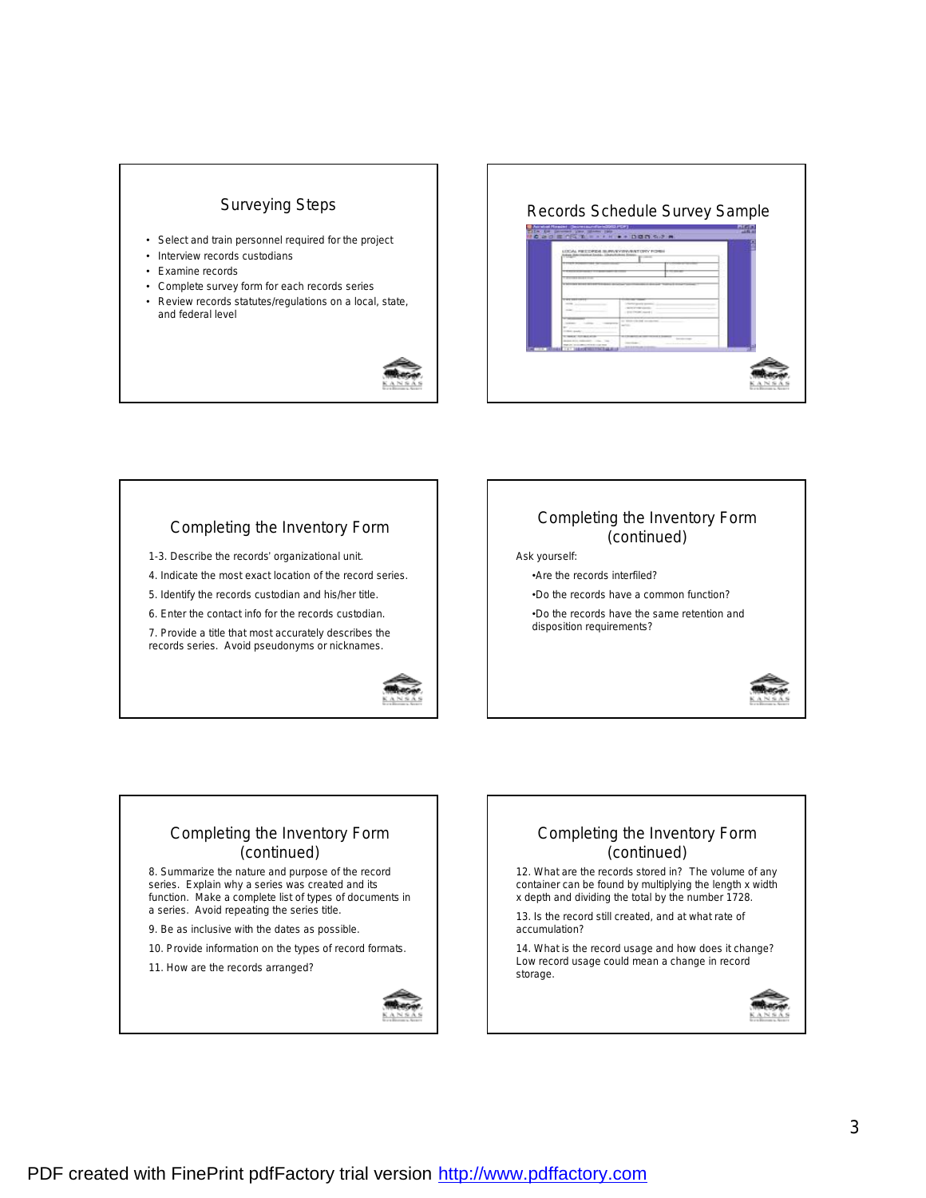# Surveying Steps

- Select and train personnel required for the project
- Interview records custodians
- Examine records
- Complete survey form for each records series
- Review records statutes/regulations on a local, state, and federal level





# Completing the Inventory Form

- 1-3. Describe the records' organizational unit.
- 4. Indicate the most exact location of the record series.
- 5. Identify the records custodian and his/her title.
- 6. Enter the contact info for the records custodian.

7. Provide a title that most accurately describes the records series. Avoid pseudonyms or nicknames.



### Completing the Inventory Form (continued) Ask yourself: •Are the records interfiled? •Do the records have a common function?

•Do the records have the same retention and disposition requirements?



# Completing the Inventory Form (continued)

8. Summarize the nature and purpose of the record series. Explain why a series was created and its function. Make a complete list of types of documents in a series. Avoid repeating the series title.

9. Be as inclusive with the dates as possible.

10. Provide information on the types of record formats.

11. How are the records arranged?



# Completing the Inventory Form (continued) 12. What are the records stored in? The volume of any

container can be found by multiplying the length x width x depth and dividing the total by the number 1728.

13. Is the record still created, and at what rate of accumulation?

14. What is the record usage and how does it change? Low record usage could mean a change in record storage.

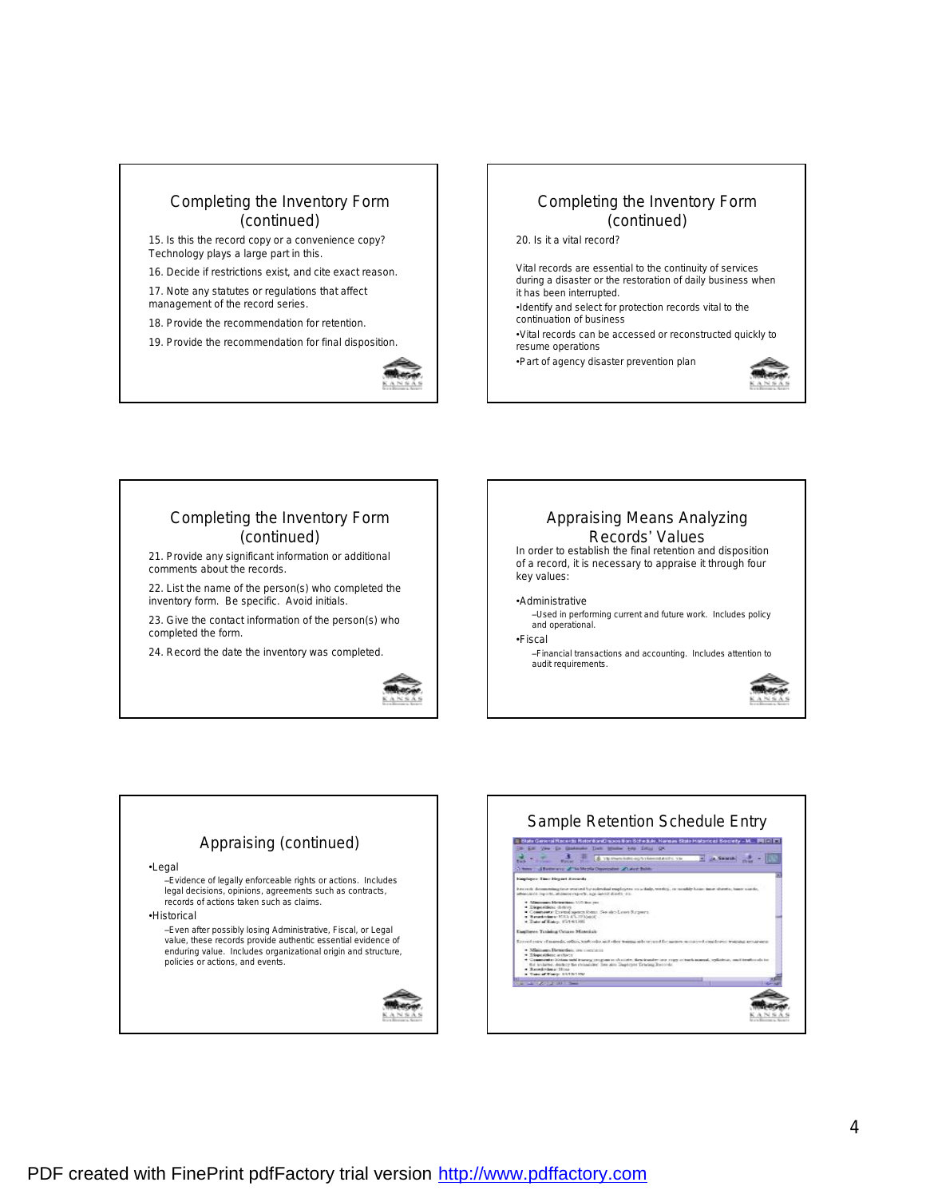

19. Provide the recommendation for final disposition.



## Completing the Inventory Form (continued)

20. Is it a vital record?

Vital records are essential to the continuity of services during a disaster or the restoration of daily business when it has been interrupted.

- •Identify and select for protection records vital to the continuation of business
- •Vital records can be accessed or reconstructed quickly to resume operations

•Part of agency disaster prevention plan



### Completing the Inventory Form (continued)

21. Provide any significant information or additional comments about the records.

22. List the name of the person(s) who completed the inventory form. Be specific. Avoid initials.

23. Give the contact information of the person(s) who completed the form.

24. Record the date the inventory was completed.







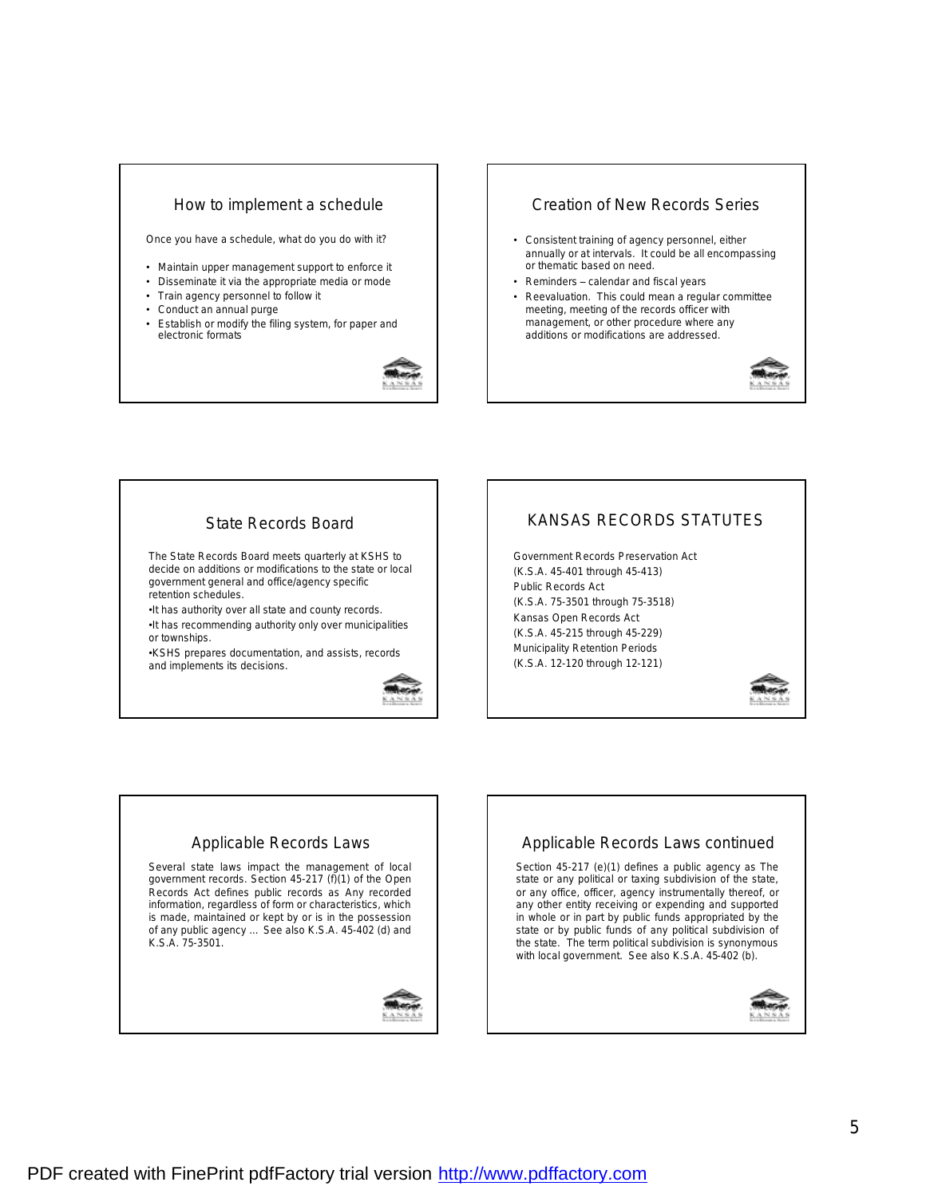### How to implement a schedule

Once you have a schedule, what do you do with it?

- Maintain upper management support to enforce it
- Disseminate it via the appropriate media or mode
- Train agency personnel to follow it
- Conduct an annual purge
- Establish or modify the filing system, for paper and electronic formats



## Creation of New Records Series

- Consistent training of agency personnel, either annually or at intervals. It could be all encompassing or thematic based on need.
- Reminders calendar and fiscal years
- Reevaluation. This could mean a regular committee meeting, meeting of the records officer with management, or other procedure where any additions or modifications are addressed.



## State Records Board

The State Records Board meets quarterly at KSHS to decide on additions or modifications to the state or local government general and office/agency specific retention schedules.

•It has authority over all state and county records. •It has recommending authority only over municipalities or townships.

•KSHS prepares documentation, and assists, records and implements its decisions.



# KANSAS RECORDS STATUTES

Government Records Preservation Act (K.S.A. 45-401 through 45-413) Public Records Act (K.S.A. 75-3501 through 75-3518) Kansas Open Records Act (K.S.A. 45-215 through 45-229) Municipality Retention Periods (K.S.A. 12-120 through 12-121)



### Applicable Records Laws

Several state laws impact the management of local government records. Section 45-217 (f)(1) of the Open Records Act defines public records as *Any recorded information, regardless of form or characteristics, which is made, maintained or kept by or is in the possession of any public agency ...* See also K.S.A. 45-402 (d) and K.S.A. 75-3501.



## Applicable Records Laws continued

Section 45-217 (e)(1) defines a public agency as *The state or any political or taxing subdivision of the state, or any office, officer, agency instrumentally thereof, or any other entity receiving or expending and supported in whole or in part by public funds appropriated by the state or by public funds of any political subdivision of the state.* The term political subdivision is synonymous with local government. See also K.S.A. 45-402 (b).

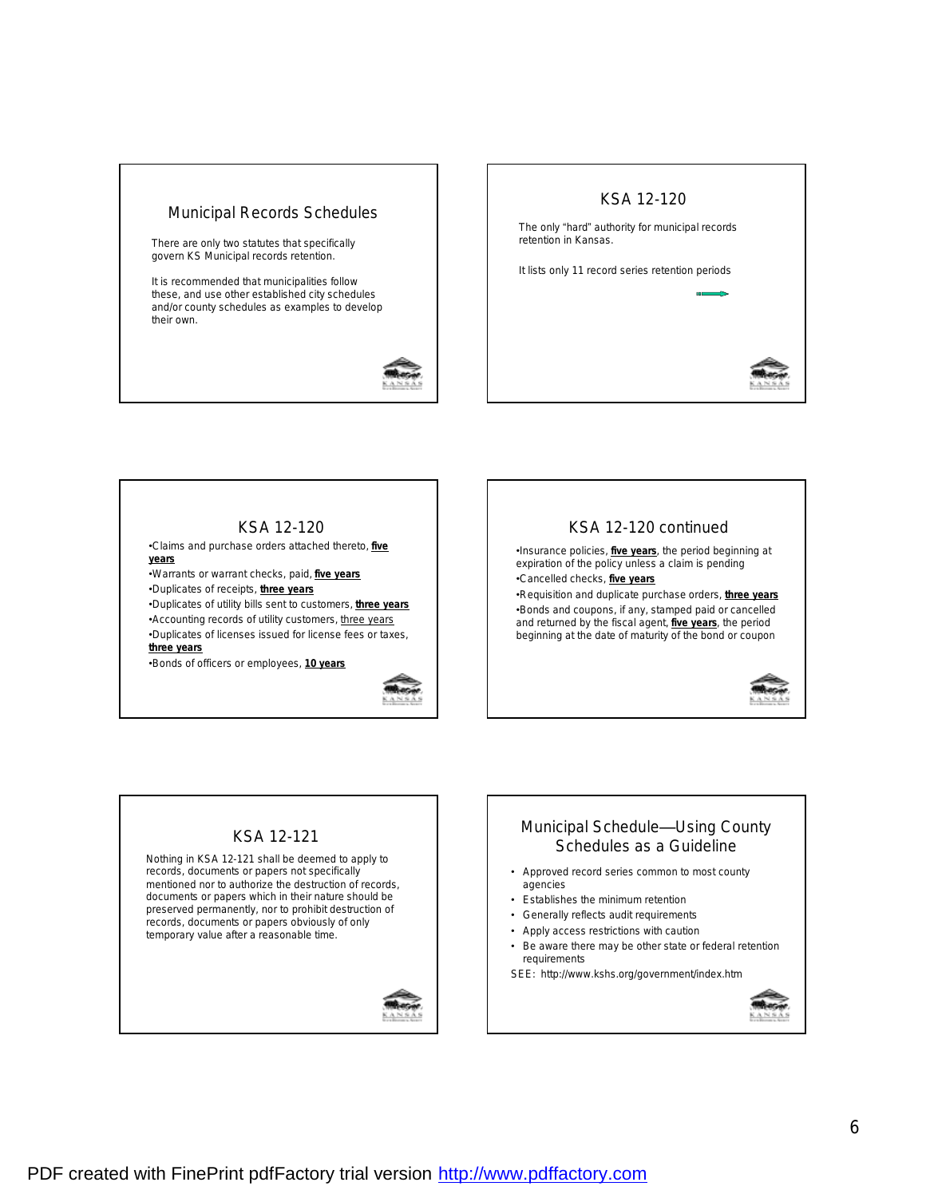# Municipal Records Schedules

There are only two statutes that specifically govern KS Municipal records retention.

It is recommended that municipalities follow these, and use other established city schedules and/or county schedules as examples to develop their own.





# KSA 12-120

•Claims and purchase orders attached thereto, **five years**

•Warrants or warrant checks, paid, **five years**

•Duplicates of receipts, **three years**

•Duplicates of utility bills sent to customers, **three years** •Accounting records of utility customers, three years •Duplicates of licenses issued for license fees or taxes, **three years**

•Bonds of officers or employees, **10 years**





#### KSA 12-121 Nothing in KSA 12-121 shall be deemed to apply to records, documents or papers not specifically mentioned nor to authorize the destruction of records, documents or papers which in their nature should be preserved permanently, nor to prohibit destruction of records, documents or papers obviously of only temporary value after a reasonable time.



# Municipal Schedule—Using County Schedules as a Guideline

- Approved record series common to most county agencies
- Establishes the minimum retention
- Generally reflects audit requirements
- Apply access restrictions with caution
- Be aware there may be other state or federal retention requirements

SEE: http://www.kshs.org/government/index.htm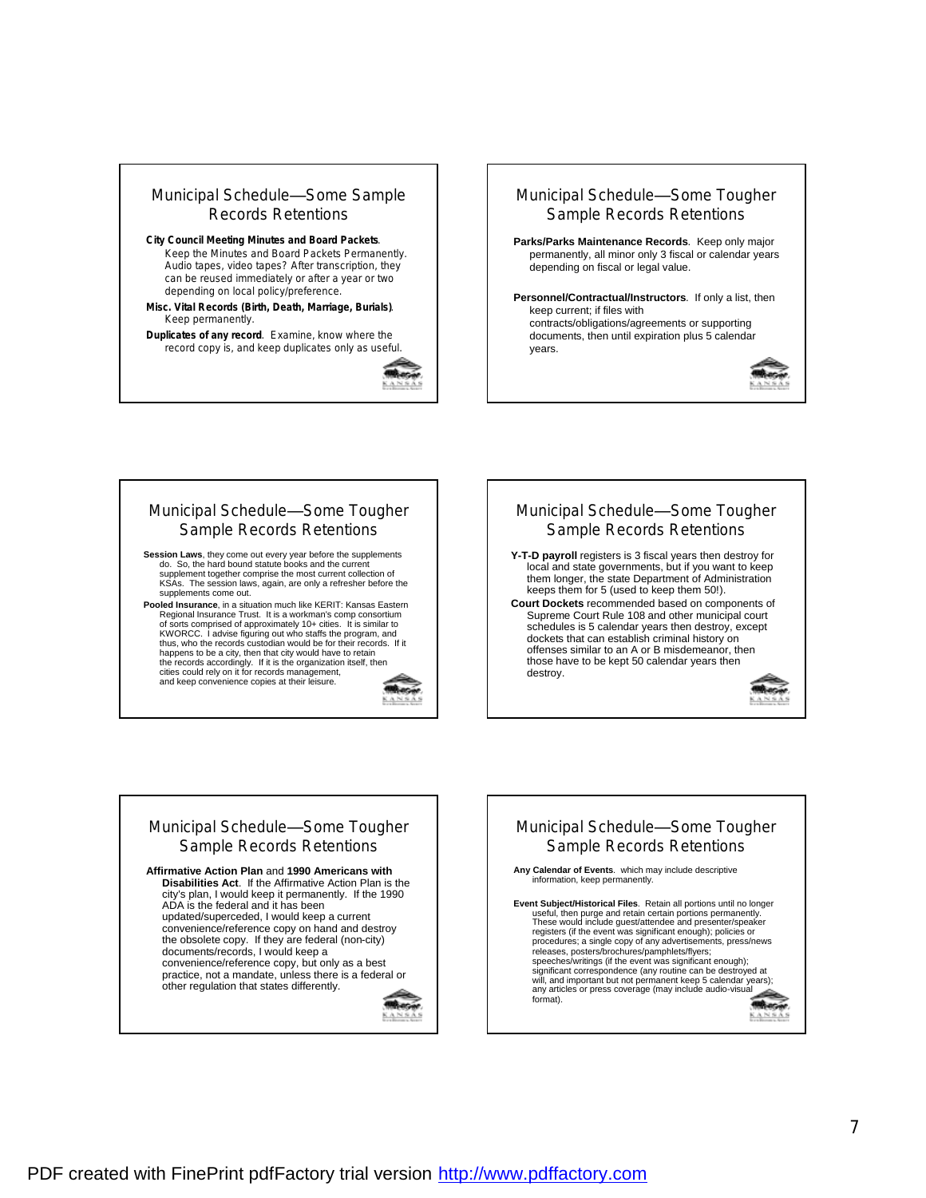

**Misc. Vital Records (Birth, Death, Marriage, Burials)**. Keep permanently.

**Duplicates of any record**. Examine, know where the record copy is, and keep duplicates only as useful.





keep current; if files with contracts/obligations/agreements or supporting documents, then until expiration plus 5 calendar years.



**Session Laws**, they come out every year before the supplements do. So, the hard bound statute books and the current supplement together comprise the most current collection of KSAs. The session laws, again, are only a refresher before the supplements come out.

**Pooled Insurance**, in a situation much like KERIT: Kansas Eastern Regional Insurance Trust. It is a workman's comp consortium of sorts comprised of approximately 10+ cities. It is similar to KWORCC. I advise figuring out who staffs the program, and thus, who the records custodian would be for their records. If it happens to be a city, then that city would have to retain the records accordingly. If it is the organization itself, then cities could rely on it for records management, and keep convenience copies at their leisure.







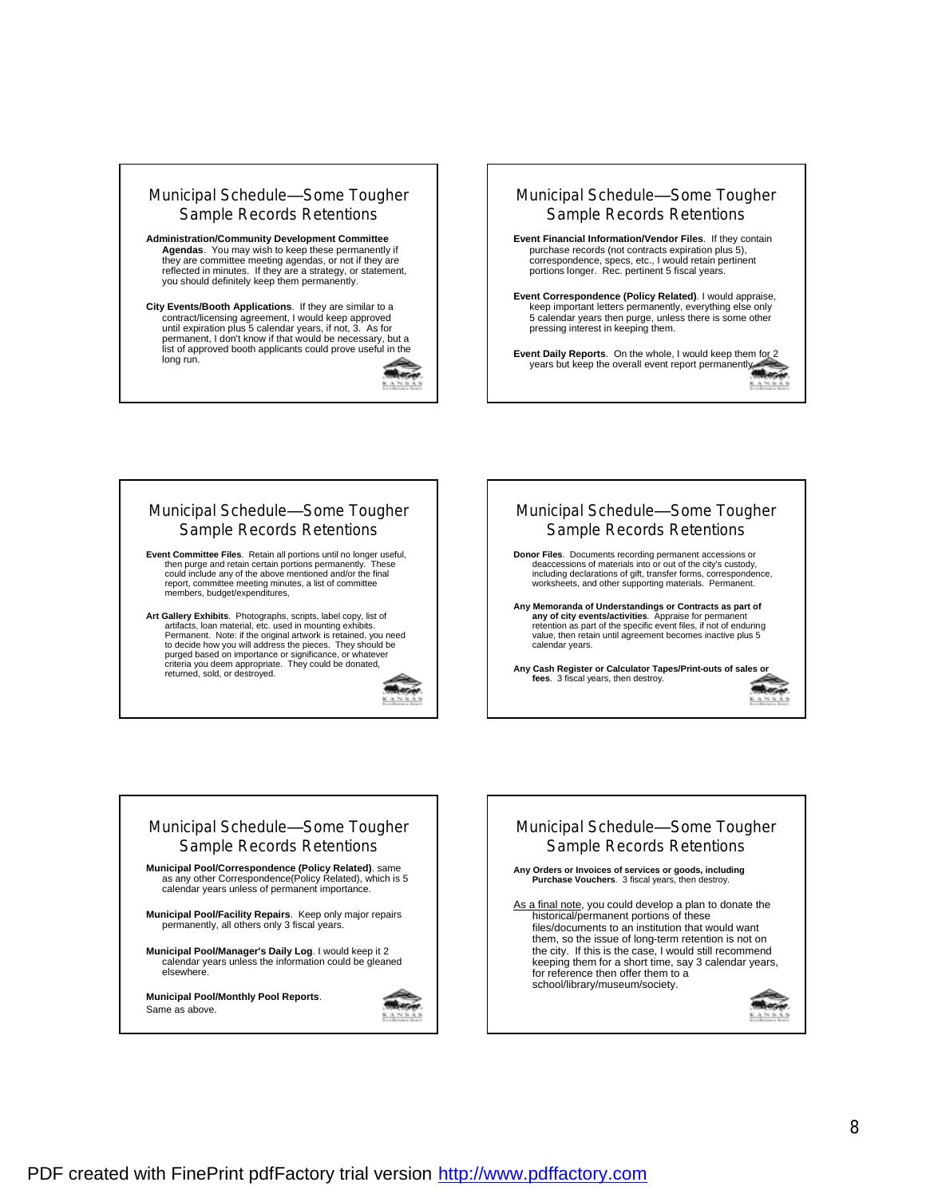







to decide how you will address the pieces. They should be purged based on importance or significance, or whatever criteria you deem appropriate. They could be donated, returned, sold, or destroyed.







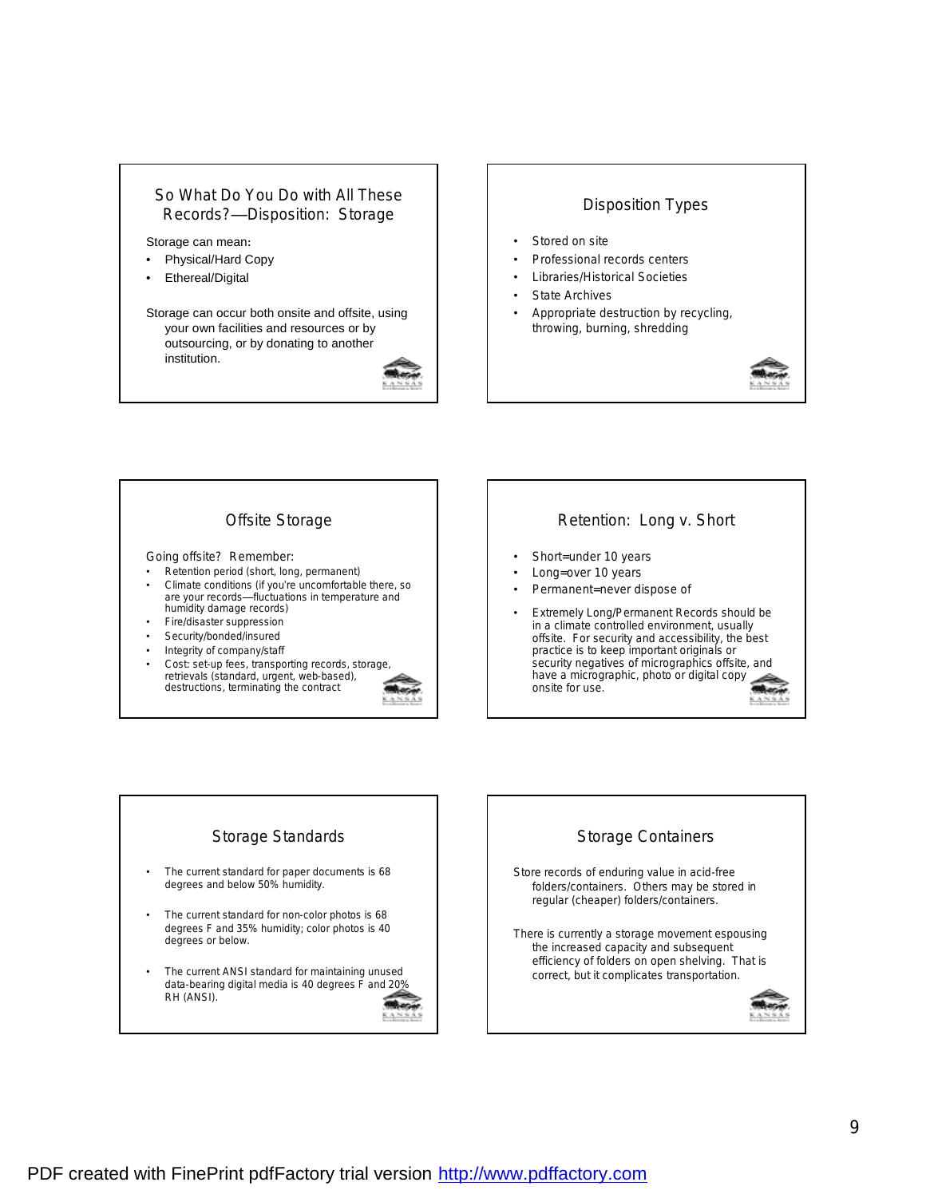### So What Do You Do with All These Records?—Disposition: Storage

Storage can mean**:**

- Physical/Hard Copy
- Ethereal/Digital

Storage can occur both onsite and offsite, using your own facilities and resources or by outsourcing, or by donating to another institution.



#### Disposition Types

- Stored on site
- Professional records centers
- Libraries/Historical Societies
- **State Archives**
- Appropriate destruction by recycling, throwing, burning, shredding



# Offsite Storage Going offsite? Remember: • Retention period (short, long, permanent) • Climate conditions (if you're uncomfortable there, so are your records—fluctuations in temperature and humidity damage records) • Fire/disaster suppression Security/bonded/insured • Integrity of company/staff Cost: set-up fees, transporting records, storage retrievals (standard, urgent, web-based), destructions, terminating the contract



# Retention: Long v. Short

- Short=under 10 years
- Long=over 10 years
- Permanent=never dispose of
- Extremely Long/Permanent Records should be in a climate controlled environment, usually offsite. For security and accessibility, the best practice is to keep important originals or security negatives of micrographics offsite, and have a micrographic, photo or digital copy onsite for use.